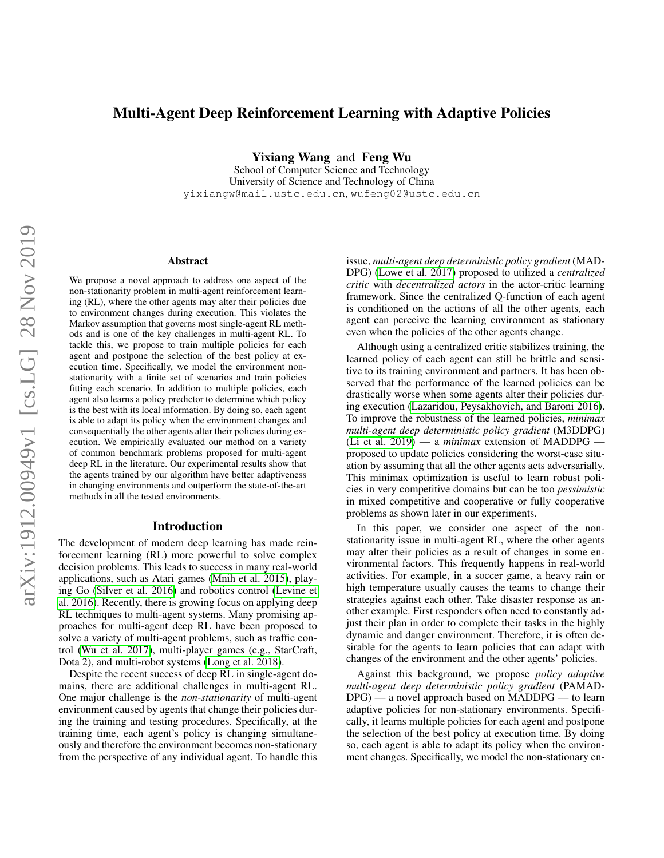# Multi-Agent Deep Reinforcement Learning with Adaptive Policies

Yixiang Wang and Feng Wu

School of Computer Science and Technology University of Science and Technology of China yixiangw@mail.ustc.edu.cn, wufeng02@ustc.edu.cn

#### Abstract

We propose a novel approach to address one aspect of the non-stationarity problem in multi-agent reinforcement learning (RL), where the other agents may alter their policies due to environment changes during execution. This violates the Markov assumption that governs most single-agent RL methods and is one of the key challenges in multi-agent RL. To tackle this, we propose to train multiple policies for each agent and postpone the selection of the best policy at execution time. Specifically, we model the environment nonstationarity with a finite set of scenarios and train policies fitting each scenario. In addition to multiple policies, each agent also learns a policy predictor to determine which policy is the best with its local information. By doing so, each agent is able to adapt its policy when the environment changes and consequentially the other agents alter their policies during execution. We empirically evaluated our method on a variety of common benchmark problems proposed for multi-agent deep RL in the literature. Our experimental results show that the agents trained by our algorithm have better adaptiveness in changing environments and outperform the state-of-the-art methods in all the tested environments.

#### Introduction

The development of modern deep learning has made reinforcement learning (RL) more powerful to solve complex decision problems. This leads to success in many real-world applications, such as Atari games [\(Mnih et al. 2015\)](#page-7-0), playing Go [\(Silver et al. 2016\)](#page-7-1) and robotics control [\(Levine et](#page-6-0) [al. 2016\)](#page-6-0). Recently, there is growing focus on applying deep RL techniques to multi-agent systems. Many promising approaches for multi-agent deep RL have been proposed to solve a variety of multi-agent problems, such as traffic control [\(Wu et al. 2017\)](#page-7-2), multi-player games (e.g., StarCraft, Dota 2), and multi-robot systems [\(Long et al. 2018\)](#page-7-3).

Despite the recent success of deep RL in single-agent domains, there are additional challenges in multi-agent RL. One major challenge is the *non-stationarity* of multi-agent environment caused by agents that change their policies during the training and testing procedures. Specifically, at the training time, each agent's policy is changing simultaneously and therefore the environment becomes non-stationary from the perspective of any individual agent. To handle this issue, *multi-agent deep deterministic policy gradient* (MAD-DPG) [\(Lowe et al. 2017\)](#page-7-4) proposed to utilized a *centralized critic* with *decentralized actors* in the actor-critic learning framework. Since the centralized Q-function of each agent is conditioned on the actions of all the other agents, each agent can perceive the learning environment as stationary even when the policies of the other agents change.

Although using a centralized critic stabilizes training, the learned policy of each agent can still be brittle and sensitive to its training environment and partners. It has been observed that the performance of the learned policies can be drastically worse when some agents alter their policies during execution [\(Lazaridou, Peysakhovich, and Baroni 2016\)](#page-6-1). To improve the robustness of the learned policies, *minimax multi-agent deep deterministic policy gradient* (M3DDPG) [\(Li et al. 2019\)](#page-6-2) — a *minimax* extension of MADDPG proposed to update policies considering the worst-case situation by assuming that all the other agents acts adversarially. This minimax optimization is useful to learn robust policies in very competitive domains but can be too *pessimistic* in mixed competitive and cooperative or fully cooperative problems as shown later in our experiments.

In this paper, we consider one aspect of the nonstationarity issue in multi-agent RL, where the other agents may alter their policies as a result of changes in some environmental factors. This frequently happens in real-world activities. For example, in a soccer game, a heavy rain or high temperature usually causes the teams to change their strategies against each other. Take disaster response as another example. First responders often need to constantly adjust their plan in order to complete their tasks in the highly dynamic and danger environment. Therefore, it is often desirable for the agents to learn policies that can adapt with changes of the environment and the other agents' policies.

Against this background, we propose *policy adaptive multi-agent deep deterministic policy gradient* (PAMAD-DPG) — a novel approach based on MADDPG — to learn adaptive policies for non-stationary environments. Specifically, it learns multiple policies for each agent and postpone the selection of the best policy at execution time. By doing so, each agent is able to adapt its policy when the environment changes. Specifically, we model the non-stationary en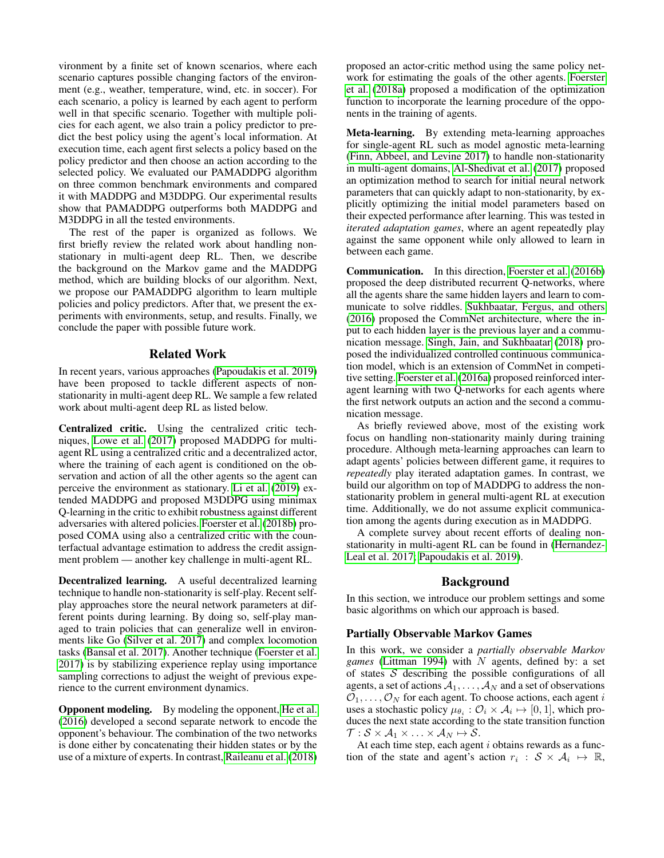vironment by a finite set of known scenarios, where each scenario captures possible changing factors of the environment (e.g., weather, temperature, wind, etc. in soccer). For each scenario, a policy is learned by each agent to perform well in that specific scenario. Together with multiple policies for each agent, we also train a policy predictor to predict the best policy using the agent's local information. At execution time, each agent first selects a policy based on the policy predictor and then choose an action according to the selected policy. We evaluated our PAMADDPG algorithm on three common benchmark environments and compared it with MADDPG and M3DDPG. Our experimental results show that PAMADDPG outperforms both MADDPG and M3DDPG in all the tested environments.

The rest of the paper is organized as follows. We first briefly review the related work about handling nonstationary in multi-agent deep RL. Then, we describe the background on the Markov game and the MADDPG method, which are building blocks of our algorithm. Next, we propose our PAMADDPG algorithm to learn multiple policies and policy predictors. After that, we present the experiments with environments, setup, and results. Finally, we conclude the paper with possible future work.

## Related Work

In recent years, various approaches [\(Papoudakis et al. 2019\)](#page-7-5) have been proposed to tackle different aspects of nonstationarity in multi-agent deep RL. We sample a few related work about multi-agent deep RL as listed below.

Centralized critic. Using the centralized critic techniques, [Lowe et al.](#page-7-4) [\(2017\)](#page-7-4) proposed MADDPG for multiagent RL using a centralized critic and a decentralized actor, where the training of each agent is conditioned on the observation and action of all the other agents so the agent can perceive the environment as stationary. [Li et al.](#page-6-2) [\(2019\)](#page-6-2) extended MADDPG and proposed M3DDPG using minimax Q-learning in the critic to exhibit robustness against different adversaries with altered policies. [Foerster et al.](#page-6-3) [\(2018b\)](#page-6-3) proposed COMA using also a centralized critic with the counterfactual advantage estimation to address the credit assignment problem — another key challenge in multi-agent RL.

Decentralized learning. A useful decentralized learning technique to handle non-stationarity is self-play. Recent selfplay approaches store the neural network parameters at different points during learning. By doing so, self-play managed to train policies that can generalize well in environments like Go [\(Silver et al. 2017\)](#page-7-6) and complex locomotion tasks [\(Bansal et al. 2017\)](#page-6-4). Another technique [\(Foerster et al.](#page-6-5) [2017\)](#page-6-5) is by stabilizing experience replay using importance sampling corrections to adjust the weight of previous experience to the current environment dynamics.

Opponent modeling. By modeling the opponent, [He et al.](#page-6-6) [\(2016\)](#page-6-6) developed a second separate network to encode the opponent's behaviour. The combination of the two networks is done either by concatenating their hidden states or by the use of a mixture of experts. In contrast, [Raileanu et al.](#page-7-7) [\(2018\)](#page-7-7) proposed an actor-critic method using the same policy network for estimating the goals of the other agents. [Foerster](#page-6-7) [et al.](#page-6-7) [\(2018a\)](#page-6-7) proposed a modification of the optimization function to incorporate the learning procedure of the opponents in the training of agents.

Meta-learning. By extending meta-learning approaches for single-agent RL such as model agnostic meta-learning [\(Finn, Abbeel, and Levine 2017\)](#page-6-8) to handle non-stationarity in multi-agent domains, [Al-Shedivat et al.](#page-6-9) [\(2017\)](#page-6-9) proposed an optimization method to search for initial neural network parameters that can quickly adapt to non-stationarity, by explicitly optimizing the initial model parameters based on their expected performance after learning. This was tested in *iterated adaptation games*, where an agent repeatedly play against the same opponent while only allowed to learn in between each game.

Communication. In this direction, [Foerster et al.](#page-6-10) [\(2016b\)](#page-6-10) proposed the deep distributed recurrent Q-networks, where all the agents share the same hidden layers and learn to communicate to solve riddles. [Sukhbaatar, Fergus, and others](#page-7-8) [\(2016\)](#page-7-8) proposed the CommNet architecture, where the input to each hidden layer is the previous layer and a communication message. [Singh, Jain, and Sukhbaatar](#page-7-9) [\(2018\)](#page-7-9) proposed the individualized controlled continuous communication model, which is an extension of CommNet in competitive setting. [Foerster et al.](#page-6-11) [\(2016a\)](#page-6-11) proposed reinforced interagent learning with two Q-networks for each agents where the first network outputs an action and the second a communication message.

As briefly reviewed above, most of the existing work focus on handling non-stationarity mainly during training procedure. Although meta-learning approaches can learn to adapt agents' policies between different game, it requires to *repeatedly* play iterated adaptation games. In contrast, we build our algorithm on top of MADDPG to address the nonstationarity problem in general multi-agent RL at execution time. Additionally, we do not assume explicit communication among the agents during execution as in MADDPG.

A complete survey about recent efforts of dealing nonstationarity in multi-agent RL can be found in [\(Hernandez-](#page-6-12)[Leal et al. 2017;](#page-6-12) [Papoudakis et al. 2019\)](#page-7-5).

## Background

In this section, we introduce our problem settings and some basic algorithms on which our approach is based.

#### Partially Observable Markov Games

In this work, we consider a *partially observable Markov games* [\(Littman 1994\)](#page-6-13) with N agents, defined by: a set of states  $S$  describing the possible configurations of all agents, a set of actions  $A_1, \ldots, A_N$  and a set of observations  $\mathcal{O}_1, \ldots, \mathcal{O}_N$  for each agent. To choose actions, each agent i uses a stochastic policy  $\mu_{\theta_i}: \mathcal{O}_i \times \mathcal{A}_i \mapsto [0,1]$ , which produces the next state according to the state transition function  $\mathcal{T}: \mathcal{S} \times \mathcal{A}_1 \times \ldots \times \mathcal{A}_N \mapsto \mathcal{S}.$ 

At each time step, each agent  $i$  obtains rewards as a function of the state and agent's action  $r_i : S \times A_i \mapsto \mathbb{R}$ ,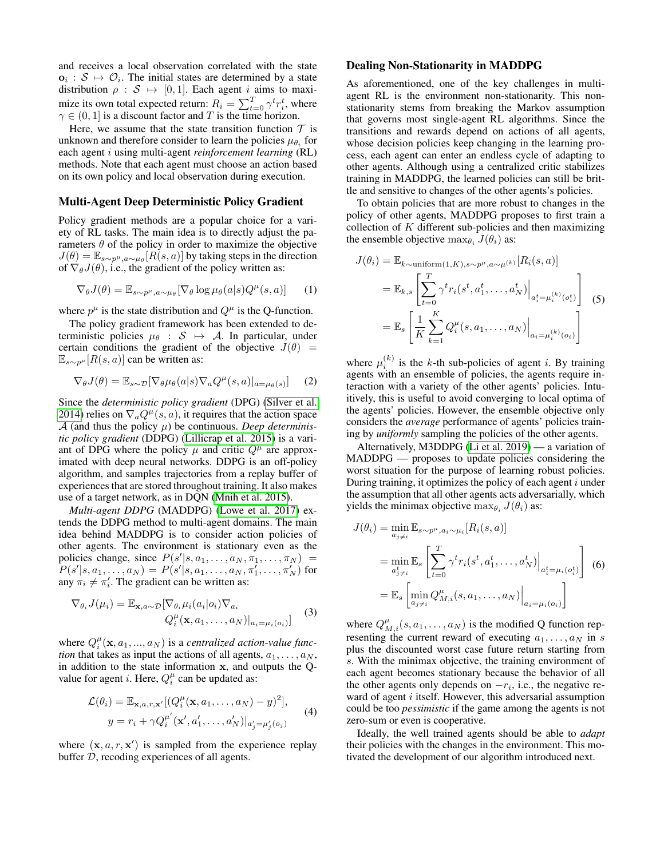and receives a local observation correlated with the state  $o_i : S \mapsto \mathcal{O}_i$ . The initial states are determined by a state distribution  $\rho : \mathcal{S} \mapsto [0, 1]$ . Each agent *i* aims to maximize its own total expected return:  $R_i = \sum_{t=0}^{T} \gamma^t r_i^t$ , where  $\gamma \in (0, 1]$  is a discount factor and T is the time horizon.

Here, we assume that the state transition function  $\tau$  is unknown and therefore consider to learn the policies  $\mu_{\theta_i}$  for each agent i using multi-agent *reinforcement learning* (RL) methods. Note that each agent must choose an action based on its own policy and local observation during execution.

## Multi-Agent Deep Deterministic Policy Gradient

Policy gradient methods are a popular choice for a variety of RL tasks. The main idea is to directly adjust the parameters  $\theta$  of the policy in order to maximize the objective  $J(\theta) = \mathbb{E}_{s \sim p^{\mu}, a \sim \mu_{\theta}} [R(s, a)]$  by taking steps in the direction of  $\nabla_{\theta}J(\theta)$ , i.e., the gradient of the policy written as:

$$
\nabla_{\theta} J(\theta) = \mathbb{E}_{s \sim p^{\mu}, a \sim \mu_{\theta}} [\nabla_{\theta} \log \mu_{\theta}(a|s) Q^{\mu}(s, a)] \qquad (1)
$$

where  $p^{\mu}$  is the state distribution and  $Q^{\mu}$  is the Q-function.

The policy gradient framework has been extended to deterministic policies  $\mu_{\theta}$  :  $S \mapsto A$ . In particular, under certain conditions the gradient of the objective  $J(\theta)$  =  $\mathbb{E}_{s\sim p^{\mu}}[R(s,a)]$  can be written as:

$$
\nabla_{\theta} J(\theta) = \mathbb{E}_{s \sim \mathcal{D}} [\nabla_{\theta} \mu_{\theta}(a|s) \nabla_a Q^{\mu}(s, a)|_{a = \mu_{\theta}(s)}] \tag{2}
$$

Since the *deterministic policy gradient* (DPG) [\(Silver et al.](#page-7-10) [2014\)](#page-7-10) relies on  $\nabla_a Q^{\mu}(s, a)$ , it requires that the action space  $A$  (and thus the policy  $\mu$ ) be continuous. *Deep deterministic policy gradient* (DDPG) [\(Lillicrap et al. 2015\)](#page-6-14) is a variant of DPG where the policy  $\mu$  and critic  $Q^{\mu}$  are approximated with deep neural networks. DDPG is an off-policy algorithm, and samples trajectories from a replay buffer of experiences that are stored throughout training. It also makes use of a target network, as in DQN [\(Mnih et al. 2015\)](#page-7-0).

*Multi-agent DDPG* (MADDPG) [\(Lowe et al. 2017\)](#page-7-4) extends the DDPG method to multi-agent domains. The main idea behind MADDPG is to consider action policies of other agents. The environment is stationary even as the policies change, since  $P(s'|s, a_1, \ldots, a_N, \pi_1, \ldots, \pi_N)$  =  $P(s'|s, a_1, \ldots, a_N) = P(s'|s, a_1, \ldots, a_N, \pi'_1, \ldots, \pi'_N)$  for any  $\pi_i \neq \pi'_i$ . The gradient can be written as:

$$
\nabla_{\theta_i} J(\mu_i) = \mathbb{E}_{\mathbf{x}, a \sim \mathcal{D}} [\nabla_{\theta_i} \mu_i(a_i | o_i) \nabla_{a_i} Q_i^{\mu}(\mathbf{x}, a_1, \dots, a_N)|_{a_i = \mu_i(o_i)} \tag{3}
$$

where  $Q_i^{\mu}(\mathbf{x}, a_1, ..., a_N)$  is a *centralized action-value function* that takes as input the actions of all agents,  $a_1, \ldots, a_N$ , in addition to the state information x, and outputs the Qvalue for agent *i*. Here,  $Q_i^{\mu}$  can be updated as:

$$
\mathcal{L}(\theta_i) = \mathbb{E}_{\mathbf{x}, a, r, \mathbf{x}'}[(Q_i^{\mu}(\mathbf{x}, a_1, \dots, a_N) - y)^2],
$$
  

$$
y = r_i + \gamma Q_i^{\mu'}(\mathbf{x}', a'_1, \dots, a'_N)|_{a'_j = \mu'_j(o_j)}
$$
(4)

where  $(x, a, r, x')$  is sampled from the experience replay buffer D, recoding experiences of all agents.

#### Dealing Non-Stationarity in MADDPG

As aforementioned, one of the key challenges in multiagent RL is the environment non-stationarity. This nonstationarity stems from breaking the Markov assumption that governs most single-agent RL algorithms. Since the transitions and rewards depend on actions of all agents, whose decision policies keep changing in the learning process, each agent can enter an endless cycle of adapting to other agents. Although using a centralized critic stabilizes training in MADDPG, the learned policies can still be brittle and sensitive to changes of the other agents's policies.

To obtain policies that are more robust to changes in the policy of other agents, MADDPG proposes to first train a collection of  $K$  different sub-policies and then maximizing the ensemble objective  $\max_{\theta_i} J(\theta_i)$  as:

$$
J(\theta_i) = \mathbb{E}_{k \sim \text{uniform}(1, K), s \sim p^{\mu}, a \sim \mu^{(k)}}[R_i(s, a)]
$$
  
=  $\mathbb{E}_{k, s} \left[ \sum_{t=0}^T \gamma^t r_i(s^t, a_1^t, \dots, a_N^t) \Big|_{a_i^t = \mu_i^{(k)}(o_i^t)} \right]$  (5)  
=  $\mathbb{E}_{s} \left[ \frac{1}{K} \sum_{k=1}^K Q_i^{\mu}(s, a_1, \dots, a_N) \Big|_{a_i = \mu_i^{(k)}(o_i)} \right]$ 

where  $\mu_i^{(k)}$  is the k-th sub-policies of agent *i*. By training agents with an ensemble of policies, the agents require interaction with a variety of the other agents' policies. Intuitively, this is useful to avoid converging to local optima of the agents' policies. However, the ensemble objective only considers the *average* performance of agents' policies training by *uniformly* sampling the policies of the other agents.

Alternatively, M3DDPG [\(Li et al. 2019\)](#page-6-2) — a variation of MADDPG — proposes to update policies considering the worst situation for the purpose of learning robust policies. During training, it optimizes the policy of each agent  $i$  under the assumption that all other agents acts adversarially, which yields the minimax objective  $\max_{\theta_i} J(\theta_i)$  as:

$$
J(\theta_i) = \min_{a_j \neq i} \mathbb{E}_{s \sim p^{\mu}, a_i \sim \mu_i} [R_i(s, a)]
$$
  
\n
$$
= \min_{a_j^t \neq i} \mathbb{E}_s \left[ \sum_{t=0}^T \gamma^t r_i(s^t, a_1^t, \dots, a_N^t) \Big|_{a_i^t = \mu_i(o_i^t)} \right] (6)
$$
  
\n
$$
= \mathbb{E}_s \left[ \min_{a_j \neq i} Q_{M,i}^{\mu}(s, a_1, \dots, a_N) \Big|_{a_i = \mu_i(o_i)} \right]
$$

where  $Q_{M,i}^{\mu}(s, a_1, \ldots, a_N)$  is the modified Q function representing the current reward of executing  $a_1, \ldots, a_N$  in s plus the discounted worst case future return starting from s. With the minimax objective, the training environment of each agent becomes stationary because the behavior of all the other agents only depends on  $-r_i$ , i.e., the negative reward of agent  $i$  itself. However, this adversarial assumption could be too *pessimistic* if the game among the agents is not zero-sum or even is cooperative.

Ideally, the well trained agents should be able to *adapt* their policies with the changes in the environment. This motivated the development of our algorithm introduced next.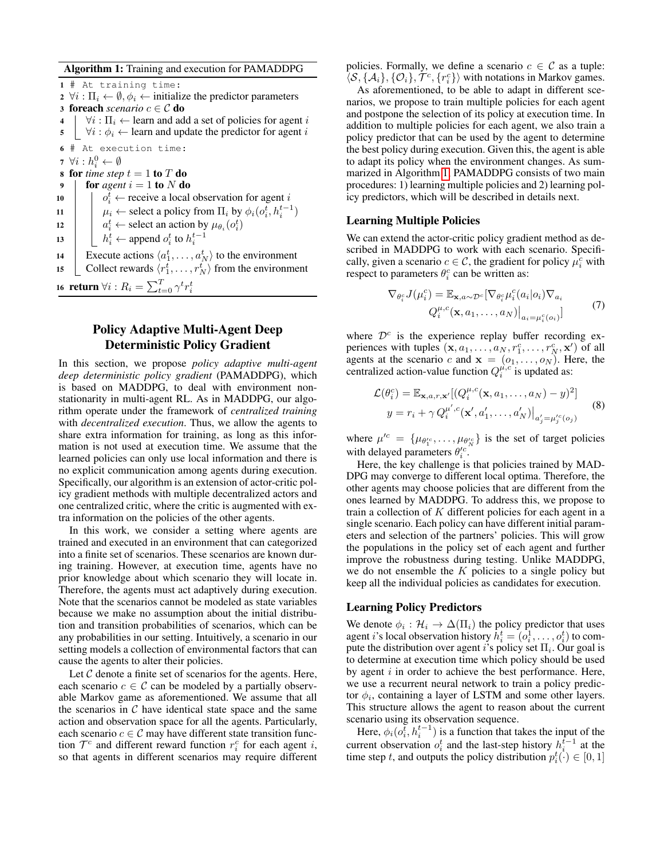Algorithm 1: Training and execution for PAMADDPG

<span id="page-3-0"></span>1 # At training time: 2  $\forall i : \Pi_i \leftarrow \emptyset, \phi_i \leftarrow$  initialize the predictor parameters 3 **foreach** *scenario*  $c \in \mathcal{C}$  **do**  $4 \mid \forall i : \Pi_i \leftarrow$  learn and add a set of policies for agent i  $\mathbf{5}$   $\forall i : \phi_i \leftarrow$  learn and update the predictor for agent i 6 # At execution time: 7  $\forall i: h_i^0 \leftarrow \emptyset$ 8 for *time step*  $t = 1$  to  $T$  do 9 **for** agent  $i = 1$  to N do  $10$  0  $t_i$   $\leftarrow$  receive a local observation for agent i 11  $\mu_i \leftarrow$  select a policy from  $\Pi_i$  by  $\phi_i(o_i^t, h_i^{t-1})$ 12  $a_i^t \leftarrow$  select an action by  $\mu_{\theta_i}(o_i^t)$ 13  $h_i^t \leftarrow$  append  $o_i^t$  to  $h_i^{t-1}$ 14 Execute actions  $\langle a_1^t, \ldots, a_N^t \rangle$  to the environment 15 Collect rewards  $\langle r_1^t, \ldots, r_N^t \rangle$  from the environment 16 return  $\forall i: R_i = \sum_{t=0}^{T} \gamma^t r_i^t$ 

# Policy Adaptive Multi-Agent Deep Deterministic Policy Gradient

In this section, we propose *policy adaptive multi-agent deep deterministic policy gradient* (PAMADDPG), which is based on MADDPG, to deal with environment nonstationarity in multi-agent RL. As in MADDPG, our algorithm operate under the framework of *centralized training* with *decentralized execution*. Thus, we allow the agents to share extra information for training, as long as this information is not used at execution time. We assume that the learned policies can only use local information and there is no explicit communication among agents during execution. Specifically, our algorithm is an extension of actor-critic policy gradient methods with multiple decentralized actors and one centralized critic, where the critic is augmented with extra information on the policies of the other agents.

In this work, we consider a setting where agents are trained and executed in an environment that can categorized into a finite set of scenarios. These scenarios are known during training. However, at execution time, agents have no prior knowledge about which scenario they will locate in. Therefore, the agents must act adaptively during execution. Note that the scenarios cannot be modeled as state variables because we make no assumption about the initial distribution and transition probabilities of scenarios, which can be any probabilities in our setting. Intuitively, a scenario in our setting models a collection of environmental factors that can cause the agents to alter their policies.

Let  $C$  denote a finite set of scenarios for the agents. Here, each scenario  $c \in \mathcal{C}$  can be modeled by a partially observable Markov game as aforementioned. We assume that all the scenarios in  $C$  have identical state space and the same action and observation space for all the agents. Particularly, each scenario  $c \in \mathcal{C}$  may have different state transition function  $\mathcal{T}^c$  and different reward function  $r_i^c$  for each agent i, so that agents in different scenarios may require different

policies. Formally, we define a scenario  $c \in \mathcal{C}$  as a tuple:  $\langle S, \{A_i\}, \{O_i\}, \mathcal{T}^c, \{r_i^c\} \rangle$  with notations in Markov games.

As aforementioned, to be able to adapt in different scenarios, we propose to train multiple policies for each agent and postpone the selection of its policy at execution time. In addition to multiple policies for each agent, we also train a policy predictor that can be used by the agent to determine the best policy during execution. Given this, the agent is able to adapt its policy when the environment changes. As summarized in Algorithm [1,](#page-3-0) PAMADDPG consists of two main procedures: 1) learning multiple policies and 2) learning policy predictors, which will be described in details next.

## Learning Multiple Policies

We can extend the actor-critic policy gradient method as described in MADDPG to work with each scenario. Specifically, given a scenario  $c \in \mathcal{C}$ , the gradient for policy  $\mu_i^c$  with respect to parameters  $\theta_i^c$  can be written as:

$$
\nabla_{\theta_i^c} J(\mu_i^c) = \mathbb{E}_{\mathbf{x}, a \sim \mathcal{D}^c} [\nabla_{\theta_i^c} \mu_i^c(a_i | o_i) \nabla_{a_i} Q_i^{\mu, c}(\mathbf{x}, a_1, \dots, a_N)|_{a_i = \mu_i^c(o_i)}]
$$
(7)

where  $\mathcal{D}^c$  is the experience replay buffer recording experiences with tuples  $(x, a_1, \ldots, a_N, r_1^c, \ldots, r_N^c, x')$  of all agents at the scenario c and  $x = (o_1, \ldots, o_N)$ . Here, the centralized action-value function  $Q_i^{\mu,c}$  is updated as:

$$
\mathcal{L}(\theta_i^c) = \mathbb{E}_{\mathbf{x}, a, r, \mathbf{x}'} [(Q_i^{\mu, c}(\mathbf{x}, a_1, \dots, a_N) - y)^2]
$$
  

$$
y = r_i + \gamma Q_i^{\mu', c}(\mathbf{x}', a'_1, \dots, a'_N)|_{a'_j = \mu'_j(c_j)}
$$
(8)

where  $\mu^{c} = \{\mu_{\theta_1^{c}}^{\dagger}, \dots, \mu_{\theta_N^{c}}\}$  is the set of target policies with delayed parameters  $\theta_i^{\prime c}$ .

Here, the key challenge is that policies trained by MAD-DPG may converge to different local optima. Therefore, the other agents may choose policies that are different from the ones learned by MADDPG. To address this, we propose to train a collection of  $K$  different policies for each agent in a single scenario. Each policy can have different initial parameters and selection of the partners' policies. This will grow the populations in the policy set of each agent and further improve the robustness during testing. Unlike MADDPG, we do not ensemble the  $K$  policies to a single policy but keep all the individual policies as candidates for execution.

## Learning Policy Predictors

We denote  $\phi_i : \mathcal{H}_i \to \Delta(\Pi_i)$  the policy predictor that uses agent *i*'s local observation history  $\bar{h}_i^t = (o_i^1, \dots, o_i^t)$  to compute the distribution over agent *i*'s policy set  $\Pi_i$ . Our goal is to determine at execution time which policy should be used by agent  $i$  in order to achieve the best performance. Here, we use a recurrent neural network to train a policy predictor  $\phi_i$ , containing a layer of LSTM and some other layers. This structure allows the agent to reason about the current scenario using its observation sequence.

Here,  $\phi_i(o_i^{\bar{t}}, h_i^{t-1})$  is a function that takes the input of the current observation  $o_i^t$  and the last-step history  $h_i^{t-1}$  at the time step t, and outputs the policy distribution  $p_i^t(\cdot) \in [0, 1]$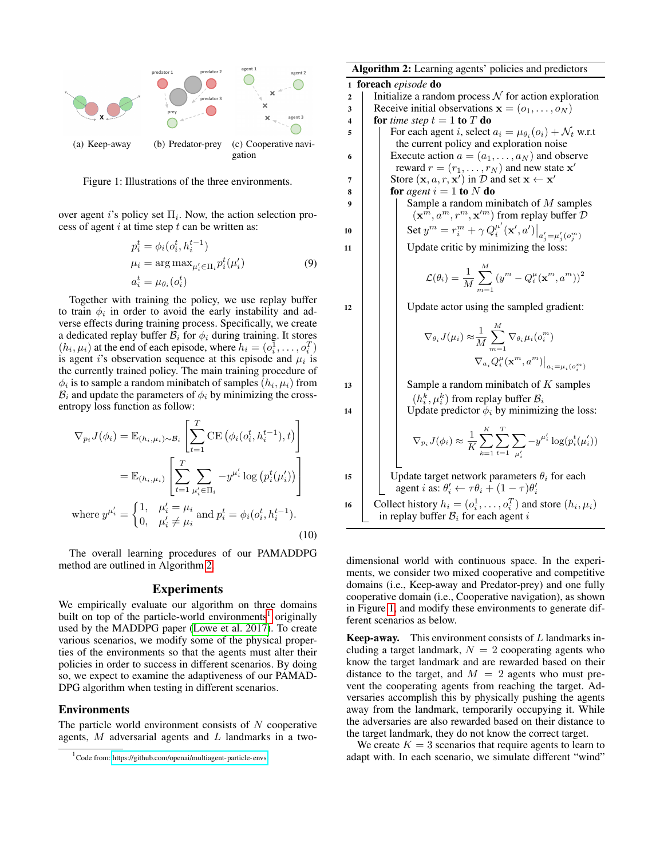

<span id="page-4-2"></span>Figure 1: Illustrations of the three environments.

over agent *i*'s policy set  $\Pi_i$ . Now, the action selection process of agent  $i$  at time step  $t$  can be written as:

$$
p_i^t = \phi_i(o_i^t, h_i^{t-1})
$$
  
\n
$$
\mu_i = \arg \max_{\mu_i' \in \Pi_i} p_i^t(\mu_i')
$$
  
\n
$$
a_i^t = \mu_{\theta_i}(o_i^t)
$$
\n(9)

Together with training the policy, we use replay buffer to train  $\phi_i$  in order to avoid the early instability and adverse effects during training process. Specifically, we create a dedicated replay buffer  $B_i$  for  $\phi_i$  during training. It stores  $(h_i, \mu_i)$  at the end of each episode, where  $h_i = (o_i^1, \dots, o_i^T)$ is agent *i*'s observation sequence at this episode and  $\mu_i$  is the currently trained policy. The main training procedure of  $\phi_i$  is to sample a random minibatch of samples  $(h_i, \mu_i)$  from  $B_i$  and update the parameters of  $\phi_i$  by minimizing the crossentropy loss function as follow:

$$
\nabla_{p_i} J(\phi_i) = \mathbb{E}_{(h_i, \mu_i) \sim \mathcal{B}_i} \left[ \sum_{t=1}^T \text{CE} \left( \phi_i(o_i^t, h_i^{t-1}), t \right) \right]
$$

$$
= \mathbb{E}_{(h_i, \mu_i)} \left[ \sum_{t=1}^T \sum_{\mu'_i \in \Pi_i} -y^{\mu'_i} \log \left( p_i^t(\mu'_i) \right) \right]
$$
  
where  $y^{\mu'_i} = \begin{cases} 1, & \mu'_i = \mu_i \\ 0, & \mu'_i \neq \mu_i \end{cases}$  and  $p_i^t = \phi_i(o_i^t, h_i^{t-1})$ . (10)

The overall learning procedures of our PAMADDPG method are outlined in Algorithm [2.](#page-4-0)

#### Experiments

We empirically evaluate our algorithm on three domains built on top of the particle-world environments<sup>[1](#page-4-1)</sup> originally used by the MADDPG paper [\(Lowe et al. 2017\)](#page-7-4). To create various scenarios, we modify some of the physical properties of the environments so that the agents must alter their policies in order to success in different scenarios. By doing so, we expect to examine the adaptiveness of our PAMAD-DPG algorithm when testing in different scenarios.

#### Environments

The particle world environment consists of  $N$  cooperative agents,  $M$  adversarial agents and  $L$  landmarks in a two-

<span id="page-4-0"></span>

| Algorithm 2: Learning agents' policies and predictors |                                                                                                                                        |
|-------------------------------------------------------|----------------------------------------------------------------------------------------------------------------------------------------|
| foreach episode do<br>1                               |                                                                                                                                        |
| $\overline{2}$                                        | Initialize a random process $\mathcal N$ for action exploration                                                                        |
| 3                                                     | Receive initial observations $\mathbf{x} = (o_1, \dots, o_N)$                                                                          |
| 4                                                     | for time step $t = 1$ to T do                                                                                                          |
| 5                                                     | For each agent i, select $a_i = \mu_{\theta_i}(o_i) + \mathcal{N}_t$ w.r.t                                                             |
| 6                                                     | the current policy and exploration noise<br>Execute action $a = (a_1, \ldots, a_N)$ and observe                                        |
|                                                       | reward $r = (r_1, \ldots, r_N)$ and new state $\mathbf{x}'$                                                                            |
| 7                                                     | Store $(\mathbf{x}, a, r, \mathbf{x}')$ in D and set $\mathbf{x} \leftarrow \mathbf{x}'$                                               |
| 8                                                     | for agent $i = 1$ to N do                                                                                                              |
| 9                                                     | Sample a random minibatch of $M$ samples                                                                                               |
|                                                       | $(\mathbf{x}^m, a^m, r^m, \mathbf{x}^{\prime m})$ from replay buffer $\mathcal{D}$                                                     |
| 10                                                    | Set $y^m = r_i^m + \gamma Q_i^{\mu'}(\mathbf{x}', a')\big _{a'_i = \mu'_i(o_i^m)}$                                                     |
| 11                                                    | Update critic by minimizing the loss:                                                                                                  |
|                                                       | $\mathcal{L}(\theta_i) = \frac{1}{M} \sum_{i=1}^{M} (y^m - Q_i^{\mu}(\mathbf{x}^m, a^m))^2$                                            |
| 12                                                    | Update actor using the sampled gradient:                                                                                               |
|                                                       | $\nabla_{\theta_i} J(\mu_i) \approx \frac{1}{M} \sum^M \nabla_{\theta_i} \mu_i(o_i^m)$                                                 |
|                                                       | $\nabla_{a_i} Q_i^{\mu}(\mathbf{x}^m, a^m)\big _{a_i=\mu_i(o_i^m)}$                                                                    |
| 13                                                    | Sample a random minibatch of $K$ samples                                                                                               |
|                                                       | $(h_i^k, \mu_i^k)$ from replay buffer $B_i$                                                                                            |
| 14                                                    | Update predictor $\phi_i$ by minimizing the loss:                                                                                      |
|                                                       | $\nabla_{p_i} J(\phi_i) \approx \frac{1}{K} \sum_{k=1}^{K} \sum_{t=1}^{I} \sum_{n'} -y^{\mu'_i} \log(p_i^t(\mu'_i))$                   |
| 15                                                    | Update target network parameters $\theta_i$ for each<br>agent <i>i</i> as: $\theta'_i \leftarrow \tau \theta_i + (1 - \tau) \theta'_i$ |
| 16                                                    | Collect history $h_i = (o_i^1, \dots, o_i^T)$ and store $(h_i, \mu_i)$                                                                 |
|                                                       | in replay buffer $B_i$ for each agent i                                                                                                |

dimensional world with continuous space. In the experiments, we consider two mixed cooperative and competitive domains (i.e., Keep-away and Predator-prey) and one fully cooperative domain (i.e., Cooperative navigation), as shown in Figure [1,](#page-4-2) and modify these environments to generate different scenarios as below.

**Keep-away.** This environment consists of  $L$  landmarks including a target landmark,  $N = 2$  cooperating agents who know the target landmark and are rewarded based on their distance to the target, and  $M = 2$  agents who must prevent the cooperating agents from reaching the target. Adversaries accomplish this by physically pushing the agents away from the landmark, temporarily occupying it. While the adversaries are also rewarded based on their distance to the target landmark, they do not know the correct target.

We create  $K = 3$  scenarios that require agents to learn to adapt with. In each scenario, we simulate different "wind"

<span id="page-4-1"></span><sup>1</sup> Code from:<https://github.com/openai/multiagent-particle-envs>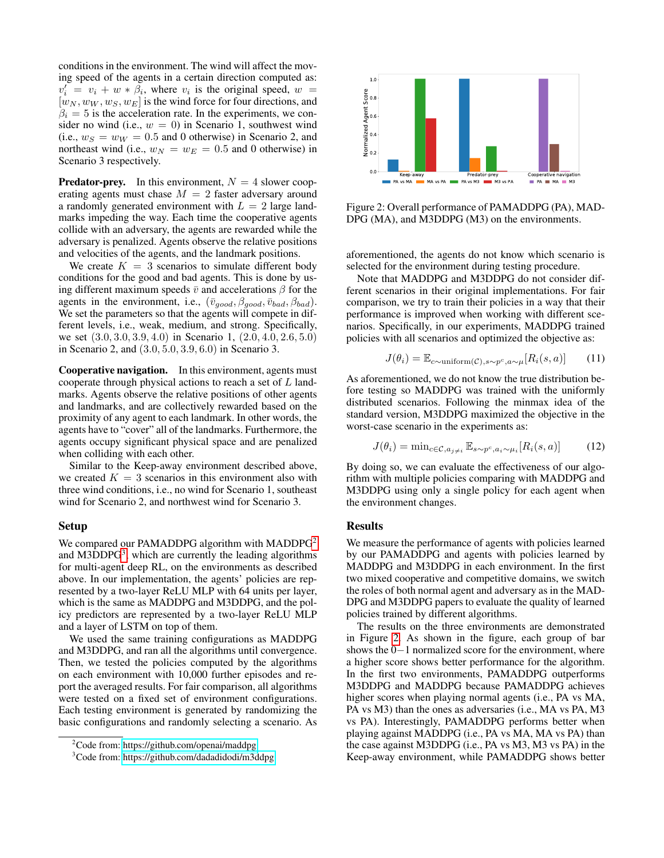conditions in the environment. The wind will affect the moving speed of the agents in a certain direction computed as:  $v_i' = v_i + w * \beta_i$ , where  $v_i$  is the original speed,  $w =$  $[w_N, w_W, w_S, w_E]$  is the wind force for four directions, and  $\beta_i = 5$  is the acceleration rate. In the experiments, we consider no wind (i.e.,  $w = 0$ ) in Scenario 1, southwest wind (i.e.,  $w_S = w_W = 0.5$  and 0 otherwise) in Scenario 2, and northeast wind (i.e.,  $w_N = w_E = 0.5$  and 0 otherwise) in Scenario 3 respectively.

**Predator-prey.** In this environment,  $N = 4$  slower cooperating agents must chase  $M = 2$  faster adversary around a randomly generated environment with  $L = 2$  large landmarks impeding the way. Each time the cooperative agents collide with an adversary, the agents are rewarded while the adversary is penalized. Agents observe the relative positions and velocities of the agents, and the landmark positions.

We create  $K = 3$  scenarios to simulate different body conditions for the good and bad agents. This is done by using different maximum speeds  $\bar{v}$  and accelerations  $\beta$  for the agents in the environment, i.e.,  $(\bar{v}_{qood}, \beta_{qood}, \bar{v}_{bad}, \beta_{bad}).$ We set the parameters so that the agents will compete in different levels, i.e., weak, medium, and strong. Specifically, we set (3.0, 3.0, 3.9, 4.0) in Scenario 1, (2.0, 4.0, 2.6, 5.0) in Scenario 2, and (3.0, 5.0, 3.9, 6.0) in Scenario 3.

Cooperative navigation. In this environment, agents must cooperate through physical actions to reach a set of L landmarks. Agents observe the relative positions of other agents and landmarks, and are collectively rewarded based on the proximity of any agent to each landmark. In other words, the agents have to "cover" all of the landmarks. Furthermore, the agents occupy significant physical space and are penalized when colliding with each other.

Similar to the Keep-away environment described above, we created  $K = 3$  scenarios in this environment also with three wind conditions, i.e., no wind for Scenario 1, southeast wind for Scenario 2, and northwest wind for Scenario 3.

#### Setup

We compared our PAMADDPG algorithm with MADDPG<sup>[2](#page-5-0)</sup> and M[3](#page-5-1)DDPG<sup>3</sup>, which are currently the leading algorithms for multi-agent deep RL, on the environments as described above. In our implementation, the agents' policies are represented by a two-layer ReLU MLP with 64 units per layer, which is the same as MADDPG and M3DDPG, and the policy predictors are represented by a two-layer ReLU MLP and a layer of LSTM on top of them.

We used the same training configurations as MADDPG and M3DDPG, and ran all the algorithms until convergence. Then, we tested the policies computed by the algorithms on each environment with 10,000 further episodes and report the averaged results. For fair comparison, all algorithms were tested on a fixed set of environment configurations. Each testing environment is generated by randomizing the basic configurations and randomly selecting a scenario. As

<span id="page-5-0"></span>

<span id="page-5-1"></span><sup>&</sup>lt;sup>3</sup>Code from:<https://github.com/dadadidodi/m3ddpg>



<span id="page-5-2"></span>Figure 2: Overall performance of PAMADDPG (PA), MAD-DPG (MA), and M3DDPG (M3) on the environments.

aforementioned, the agents do not know which scenario is selected for the environment during testing procedure.

Note that MADDPG and M3DDPG do not consider different scenarios in their original implementations. For fair comparison, we try to train their policies in a way that their performance is improved when working with different scenarios. Specifically, in our experiments, MADDPG trained policies with all scenarios and optimized the objective as:

$$
J(\theta_i) = \mathbb{E}_{c \sim \text{uniform}(\mathcal{C}), s \sim p^c, a \sim \mu}[R_i(s, a)] \tag{11}
$$

As aforementioned, we do not know the true distribution before testing so MADDPG was trained with the uniformly distributed scenarios. Following the minmax idea of the standard version, M3DDPG maximized the objective in the worst-case scenario in the experiments as:

$$
J(\theta_i) = \min_{c \in \mathcal{C}, a_{j \neq i}} \mathbb{E}_{s \sim p^c, a_i \sim \mu_i} [R_i(s, a)] \tag{12}
$$

By doing so, we can evaluate the effectiveness of our algorithm with multiple policies comparing with MADDPG and M3DDPG using only a single policy for each agent when the environment changes.

#### **Results**

We measure the performance of agents with policies learned by our PAMADDPG and agents with policies learned by MADDPG and M3DDPG in each environment. In the first two mixed cooperative and competitive domains, we switch the roles of both normal agent and adversary as in the MAD-DPG and M3DDPG papers to evaluate the quality of learned policies trained by different algorithms.

The results on the three environments are demonstrated in Figure [2.](#page-5-2) As shown in the figure, each group of bar shows the 0−1 normalized score for the environment, where a higher score shows better performance for the algorithm. In the first two environments, PAMADDPG outperforms M3DDPG and MADDPG because PAMADDPG achieves higher scores when playing normal agents (i.e., PA vs MA, PA vs M3) than the ones as adversaries (i.e., MA vs PA, M3 vs PA). Interestingly, PAMADDPG performs better when playing against MADDPG (i.e., PA vs MA, MA vs PA) than the case against M3DDPG (i.e., PA vs M3, M3 vs PA) in the Keep-away environment, while PAMADDPG shows better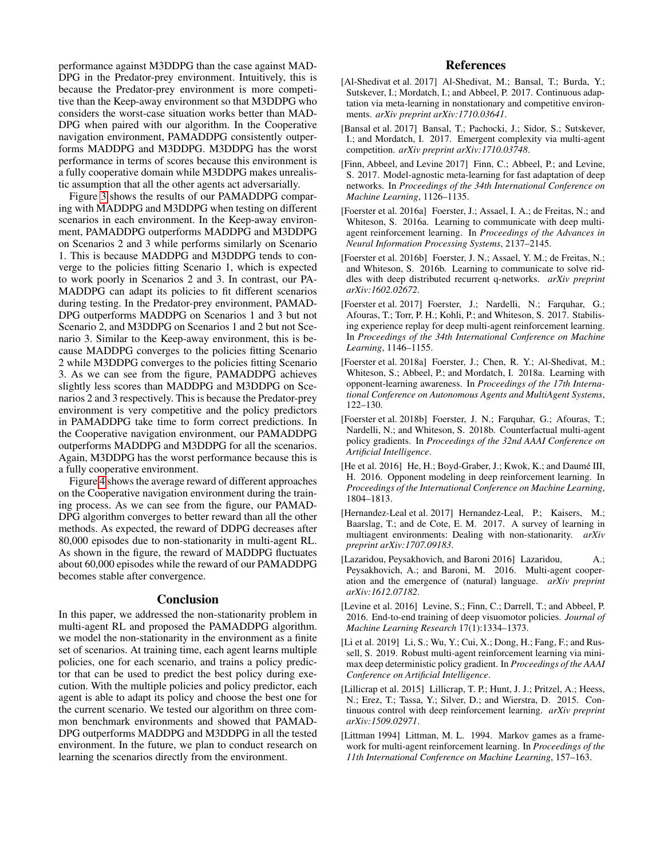performance against M3DDPG than the case against MAD-DPG in the Predator-prey environment. Intuitively, this is because the Predator-prey environment is more competitive than the Keep-away environment so that M3DDPG who considers the worst-case situation works better than MAD-DPG when paired with our algorithm. In the Cooperative navigation environment, PAMADDPG consistently outperforms MADDPG and M3DDPG. M3DDPG has the worst performance in terms of scores because this environment is a fully cooperative domain while M3DDPG makes unrealistic assumption that all the other agents act adversarially.

Figure [3](#page-7-11) shows the results of our PAMADDPG comparing with MADDPG and M3DDPG when testing on different scenarios in each environment. In the Keep-away environment, PAMADDPG outperforms MADDPG and M3DDPG on Scenarios 2 and 3 while performs similarly on Scenario 1. This is because MADDPG and M3DDPG tends to converge to the policies fitting Scenario 1, which is expected to work poorly in Scenarios 2 and 3. In contrast, our PA-MADDPG can adapt its policies to fit different scenarios during testing. In the Predator-prey environment, PAMAD-DPG outperforms MADDPG on Scenarios 1 and 3 but not Scenario 2, and M3DDPG on Scenarios 1 and 2 but not Scenario 3. Similar to the Keep-away environment, this is because MADDPG converges to the policies fitting Scenario 2 while M3DDPG converges to the policies fitting Scenario 3. As we can see from the figure, PAMADDPG achieves slightly less scores than MADDPG and M3DDPG on Scenarios 2 and 3 respectively. This is because the Predator-prey environment is very competitive and the policy predictors in PAMADDPG take time to form correct predictions. In the Cooperative navigation environment, our PAMADDPG outperforms MADDPG and M3DDPG for all the scenarios. Again, M3DDPG has the worst performance because this is a fully cooperative environment.

Figure [4](#page-7-12) shows the average reward of different approaches on the Cooperative navigation environment during the training process. As we can see from the figure, our PAMAD-DPG algorithm converges to better reward than all the other methods. As expected, the reward of DDPG decreases after 80,000 episodes due to non-stationarity in multi-agent RL. As shown in the figure, the reward of MADDPG fluctuates about 60,000 episodes while the reward of our PAMADDPG becomes stable after convergence.

#### Conclusion

In this paper, we addressed the non-stationarity problem in multi-agent RL and proposed the PAMADDPG algorithm. we model the non-stationarity in the environment as a finite set of scenarios. At training time, each agent learns multiple policies, one for each scenario, and trains a policy predictor that can be used to predict the best policy during execution. With the multiple policies and policy predictor, each agent is able to adapt its policy and choose the best one for the current scenario. We tested our algorithm on three common benchmark environments and showed that PAMAD-DPG outperforms MADDPG and M3DDPG in all the tested environment. In the future, we plan to conduct research on learning the scenarios directly from the environment.

## References

- <span id="page-6-9"></span>[Al-Shedivat et al. 2017] Al-Shedivat, M.; Bansal, T.; Burda, Y.; Sutskever, I.; Mordatch, I.; and Abbeel, P. 2017. Continuous adaptation via meta-learning in nonstationary and competitive environments. *arXiv preprint arXiv:1710.03641*.
- <span id="page-6-4"></span>[Bansal et al. 2017] Bansal, T.; Pachocki, J.; Sidor, S.; Sutskever, I.; and Mordatch, I. 2017. Emergent complexity via multi-agent competition. *arXiv preprint arXiv:1710.03748*.
- <span id="page-6-8"></span>[Finn, Abbeel, and Levine 2017] Finn, C.; Abbeel, P.; and Levine, S. 2017. Model-agnostic meta-learning for fast adaptation of deep networks. In *Proceedings of the 34th International Conference on Machine Learning*, 1126–1135.
- <span id="page-6-11"></span>[Foerster et al. 2016a] Foerster, J.; Assael, I. A.; de Freitas, N.; and Whiteson, S. 2016a. Learning to communicate with deep multiagent reinforcement learning. In *Proceedings of the Advances in Neural Information Processing Systems*, 2137–2145.
- <span id="page-6-10"></span>[Foerster et al. 2016b] Foerster, J. N.; Assael, Y. M.; de Freitas, N.; and Whiteson, S. 2016b. Learning to communicate to solve riddles with deep distributed recurrent q-networks. *arXiv preprint arXiv:1602.02672*.
- <span id="page-6-5"></span>[Foerster et al. 2017] Foerster, J.; Nardelli, N.; Farquhar, G.; Afouras, T.; Torr, P. H.; Kohli, P.; and Whiteson, S. 2017. Stabilising experience replay for deep multi-agent reinforcement learning. In *Proceedings of the 34th International Conference on Machine Learning*, 1146–1155.
- <span id="page-6-7"></span>[Foerster et al. 2018a] Foerster, J.; Chen, R. Y.; Al-Shedivat, M.; Whiteson, S.; Abbeel, P.; and Mordatch, I. 2018a. Learning with opponent-learning awareness. In *Proceedings of the 17th International Conference on Autonomous Agents and MultiAgent Systems*, 122–130.
- <span id="page-6-3"></span>[Foerster et al. 2018b] Foerster, J. N.; Farquhar, G.; Afouras, T.; Nardelli, N.; and Whiteson, S. 2018b. Counterfactual multi-agent policy gradients. In *Proceedings of the 32nd AAAI Conference on Artificial Intelligence*.
- <span id="page-6-6"></span>[He et al. 2016] He, H.; Boyd-Graber, J.; Kwok, K.; and Daumé III, H. 2016. Opponent modeling in deep reinforcement learning. In *Proceedings of the International Conference on Machine Learning*, 1804–1813.
- <span id="page-6-12"></span>[Hernandez-Leal et al. 2017] Hernandez-Leal, P.; Kaisers, M.; Baarslag, T.; and de Cote, E. M. 2017. A survey of learning in multiagent environments: Dealing with non-stationarity. *arXiv preprint arXiv:1707.09183*.
- <span id="page-6-1"></span>[Lazaridou, Peysakhovich, and Baroni 2016] Lazaridou, A.; Peysakhovich, A.; and Baroni, M. 2016. Multi-agent cooperation and the emergence of (natural) language. *arXiv preprint arXiv:1612.07182*.
- <span id="page-6-0"></span>[Levine et al. 2016] Levine, S.; Finn, C.; Darrell, T.; and Abbeel, P. 2016. End-to-end training of deep visuomotor policies. *Journal of Machine Learning Research* 17(1):1334–1373.
- <span id="page-6-2"></span>[Li et al. 2019] Li, S.; Wu, Y.; Cui, X.; Dong, H.; Fang, F.; and Russell, S. 2019. Robust multi-agent reinforcement learning via minimax deep deterministic policy gradient. In *Proceedings of the AAAI Conference on Artificial Intelligence*.
- <span id="page-6-14"></span>[Lillicrap et al. 2015] Lillicrap, T. P.; Hunt, J. J.; Pritzel, A.; Heess, N.; Erez, T.; Tassa, Y.; Silver, D.; and Wierstra, D. 2015. Continuous control with deep reinforcement learning. *arXiv preprint arXiv:1509.02971*.
- <span id="page-6-13"></span>[Littman 1994] Littman, M. L. 1994. Markov games as a framework for multi-agent reinforcement learning. In *Proceedings of the 11th International Conference on Machine Learning*, 157–163.